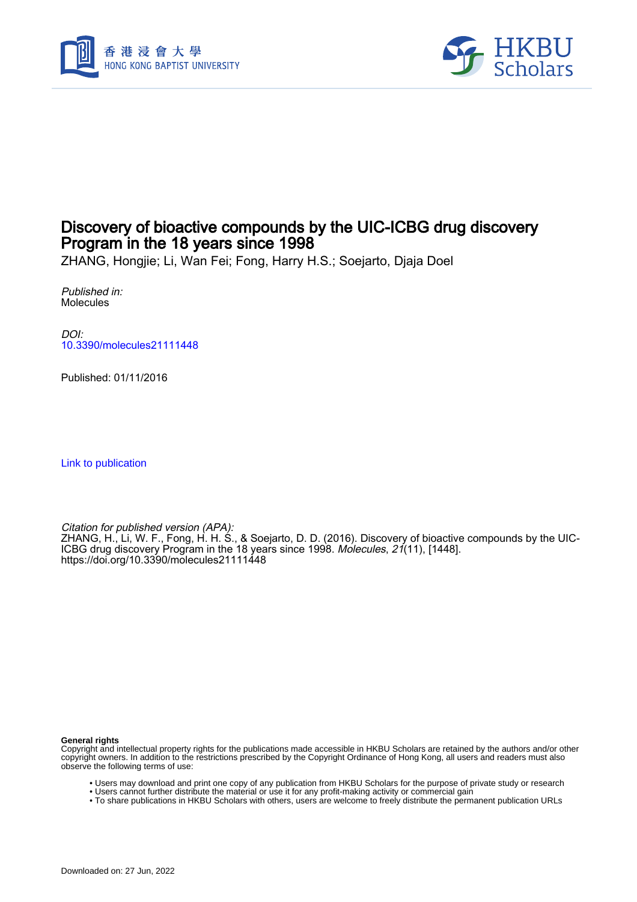



## Discovery of bioactive compounds by the UIC-ICBG drug discovery Program in the 18 years since 1998

ZHANG, Hongjie; Li, Wan Fei; Fong, Harry H.S.; Soejarto, Djaja Doel

Published in: Molecules

DOI: [10.3390/molecules21111448](https://doi.org/10.3390/molecules21111448)

Published: 01/11/2016

[Link to publication](https://scholars.hkbu.edu.hk/en/publications/5bc11b82-c719-4d88-bf75-678ead1890a8)

Citation for published version (APA): ZHANG, H., Li, W. F., Fong, H. H. S., & Soejarto, D. D. (2016). Discovery of bioactive compounds by the UIC-ICBG drug discovery Program in the 18 years since 1998. Molecules, 21(11), [1448]. <https://doi.org/10.3390/molecules21111448>

**General rights**

Copyright and intellectual property rights for the publications made accessible in HKBU Scholars are retained by the authors and/or other copyright owners. In addition to the restrictions prescribed by the Copyright Ordinance of Hong Kong, all users and readers must also observe the following terms of use:

- Users may download and print one copy of any publication from HKBU Scholars for the purpose of private study or research
- Users cannot further distribute the material or use it for any profit-making activity or commercial gain
- To share publications in HKBU Scholars with others, users are welcome to freely distribute the permanent publication URLs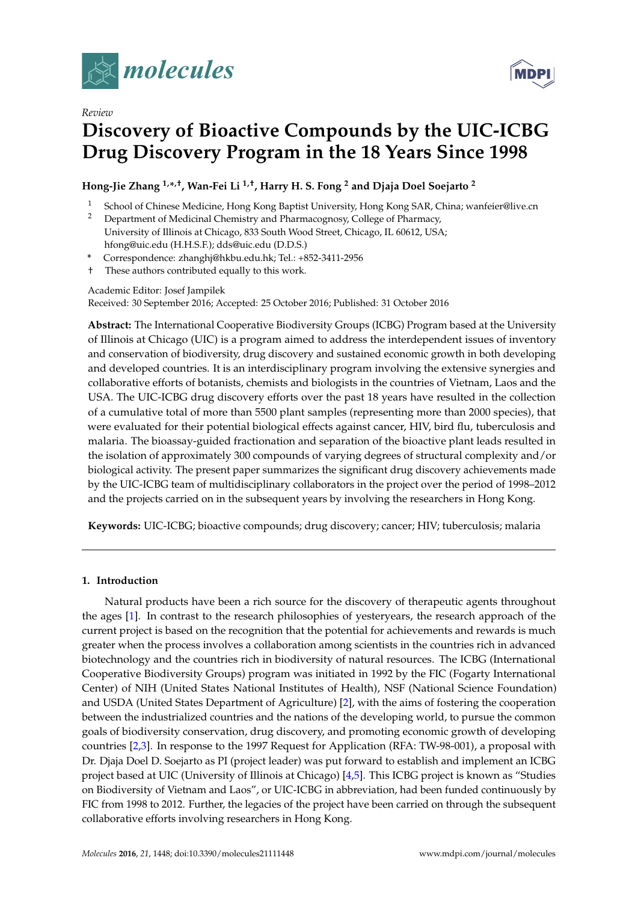

*Review*

# **Discovery of Bioactive Compounds by the UIC-ICBG Drug Discovery Program in the 18 Years Since 1998**

## **Hong-Jie Zhang 1,\* ,†, Wan-Fei Li 1,†, Harry H. S. Fong <sup>2</sup> and Djaja Doel Soejarto <sup>2</sup>**

- <sup>1</sup> School of Chinese Medicine, Hong Kong Baptist University, Hong Kong SAR, China; wanfeier@live.cn<br><sup>2</sup> Department of Medicinal Chamicture and Pharmaceae Scallage of Pharmaceae
- <sup>2</sup> Department of Medicinal Chemistry and Pharmacognosy, College of Pharmacy, University of Illinois at Chicago, 833 South Wood Street, Chicago, IL 60612, USA; hfong@uic.edu (H.H.S.F.); dds@uic.edu (D.D.S.)
- **\*** Correspondence: zhanghj@hkbu.edu.hk; Tel.: +852-3411-2956
- † These authors contributed equally to this work.

#### Academic Editor: Josef Jampilek

Received: 30 September 2016; Accepted: 25 October 2016; Published: 31 October 2016

**Abstract:** The International Cooperative Biodiversity Groups (ICBG) Program based at the University of Illinois at Chicago (UIC) is a program aimed to address the interdependent issues of inventory and conservation of biodiversity, drug discovery and sustained economic growth in both developing and developed countries. It is an interdisciplinary program involving the extensive synergies and collaborative efforts of botanists, chemists and biologists in the countries of Vietnam, Laos and the USA. The UIC-ICBG drug discovery efforts over the past 18 years have resulted in the collection of a cumulative total of more than 5500 plant samples (representing more than 2000 species), that were evaluated for their potential biological effects against cancer, HIV, bird flu, tuberculosis and malaria. The bioassay-guided fractionation and separation of the bioactive plant leads resulted in the isolation of approximately 300 compounds of varying degrees of structural complexity and/or biological activity. The present paper summarizes the significant drug discovery achievements made by the UIC-ICBG team of multidisciplinary collaborators in the project over the period of 1998–2012 and the projects carried on in the subsequent years by involving the researchers in Hong Kong.

**Keywords:** UIC-ICBG; bioactive compounds; drug discovery; cancer; HIV; tuberculosis; malaria

#### **1. Introduction**

Natural products have been a rich source for the discovery of therapeutic agents throughout the ages [1]. In contrast to the research philosophies of yesteryears, the research approach of the current project is based on the recognition that the potential for achievements and rewards is much greater when the process involves a collaboration among scientists in the countries rich in advanced biotechnology and the countries rich in biodiversity of natural resources. The ICBG (International Cooperative Biodiversity Groups) program was initiated in 1992 by the FIC (Fogarty International Center) of NIH (United States National Institutes of Health), NSF (National Science Foundation) and USDA (United States Department of Agriculture) [2], with the aims of fostering the cooperation between the industrialized countries and the nations of the developing world, to pursue the common goals of biodiversity conservation, drug discovery, and promoting economic growth of developing countries [2,3]. In response to the 1997 Request for Application (RFA: TW-98-001), a proposal with Dr. Djaja Doel D. Soejarto as PI (project leader) was put forward to establish and implement an ICBG project based at UIC (University of Illinois at Chicago) [4,5]. This ICBG project is known as "Studies on Biodiversity of Vietnam and Laos", or UIC-ICBG in abbreviation, had been funded continuously by FIC from 1998 to 2012. Further, the legacies of the project have been carried on through the subsequent collaborative efforts involving researchers in Hong Kong.

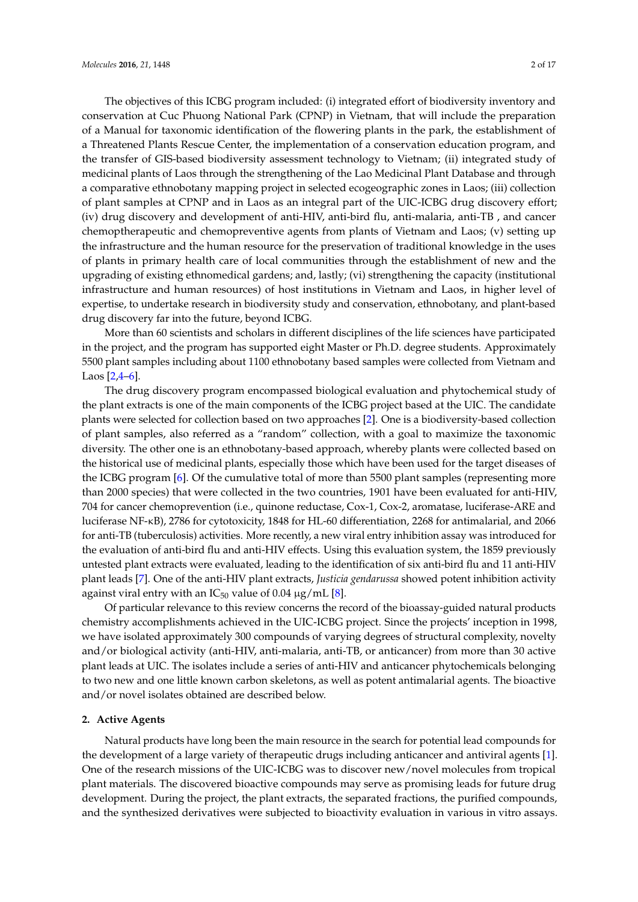The objectives of this ICBG program included: (i) integrated effort of biodiversity inventory and conservation at Cuc Phuong National Park (CPNP) in Vietnam, that will include the preparation of a Manual for taxonomic identification of the flowering plants in the park, the establishment of a Threatened Plants Rescue Center, the implementation of a conservation education program, and the transfer of GIS-based biodiversity assessment technology to Vietnam; (ii) integrated study of medicinal plants of Laos through the strengthening of the Lao Medicinal Plant Database and through a comparative ethnobotany mapping project in selected ecogeographic zones in Laos; (iii) collection of plant samples at CPNP and in Laos as an integral part of the UIC-ICBG drug discovery effort; (iv) drug discovery and development of anti-HIV, anti-bird flu, anti-malaria, anti-TB , and cancer chemoptherapeutic and chemopreventive agents from plants of Vietnam and Laos; (v) setting up the infrastructure and the human resource for the preservation of traditional knowledge in the uses of plants in primary health care of local communities through the establishment of new and the upgrading of existing ethnomedical gardens; and, lastly; (vi) strengthening the capacity (institutional infrastructure and human resources) of host institutions in Vietnam and Laos, in higher level of expertise, to undertake research in biodiversity study and conservation, ethnobotany, and plant-based drug discovery far into the future, beyond ICBG.

More than 60 scientists and scholars in different disciplines of the life sciences have participated in the project, and the program has supported eight Master or Ph.D. degree students. Approximately 5500 plant samples including about 1100 ethnobotany based samples were collected from Vietnam and Laos [2,4–6].

The drug discovery program encompassed biological evaluation and phytochemical study of the plant extracts is one of the main components of the ICBG project based at the UIC. The candidate plants were selected for collection based on two approaches [2]. One is a biodiversity-based collection of plant samples, also referred as a "random" collection, with a goal to maximize the taxonomic diversity. The other one is an ethnobotany-based approach, whereby plants were collected based on the historical use of medicinal plants, especially those which have been used for the target diseases of the ICBG program [6]. Of the cumulative total of more than 5500 plant samples (representing more than 2000 species) that were collected in the two countries, 1901 have been evaluated for anti-HIV, 704 for cancer chemoprevention (i.e., quinone reductase, Cox-1, Cox-2, aromatase, luciferase-ARE and luciferase NF-κB), 2786 for cytotoxicity, 1848 for HL-60 differentiation, 2268 for antimalarial, and 2066 for anti-TB (tuberculosis) activities. More recently, a new viral entry inhibition assay was introduced for the evaluation of anti-bird flu and anti-HIV effects. Using this evaluation system, the 1859 previously untested plant extracts were evaluated, leading to the identification of six anti-bird flu and 11 anti-HIV plant leads [7]. One of the anti-HIV plant extracts, *Justicia gendarussa* showed potent inhibition activity against viral entry with an  $IC_{50}$  value of 0.04  $\mu$ g/mL [8].

Of particular relevance to this review concerns the record of the bioassay-guided natural products chemistry accomplishments achieved in the UIC-ICBG project. Since the projects' inception in 1998, we have isolated approximately 300 compounds of varying degrees of structural complexity, novelty and/or biological activity (anti-HIV, anti-malaria, anti-TB, or anticancer) from more than 30 active plant leads at UIC. The isolates include a series of anti-HIV and anticancer phytochemicals belonging to two new and one little known carbon skeletons, as well as potent antimalarial agents. The bioactive and/or novel isolates obtained are described below.

#### **2. Active Agents**

Natural products have long been the main resource in the search for potential lead compounds for the development of a large variety of therapeutic drugs including anticancer and antiviral agents [1]. One of the research missions of the UIC-ICBG was to discover new/novel molecules from tropical plant materials. The discovered bioactive compounds may serve as promising leads for future drug development. During the project, the plant extracts, the separated fractions, the purified compounds, and the synthesized derivatives were subjected to bioactivity evaluation in various in vitro assays.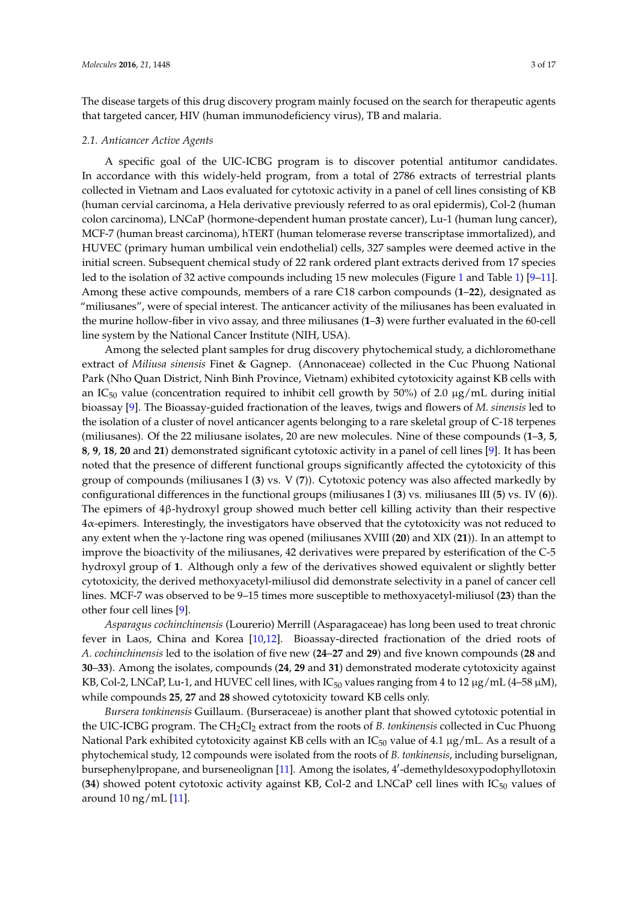The disease targets of this drug discovery program mainly focused on the search for therapeutic agents that targeted cancer, HIV (human immunodeficiency virus), TB and malaria.

#### *2.1. Anticancer Active Agents*

A specific goal of the UIC-ICBG program is to discover potential antitumor candidates. In accordance with this widely-held program, from a total of 2786 extracts of terrestrial plants collected in Vietnam and Laos evaluated for cytotoxic activity in a panel of cell lines consisting of KB (human cervial carcinoma, a Hela derivative previously referred to as oral epidermis), Col-2 (human colon carcinoma), LNCaP (hormone-dependent human prostate cancer), Lu-1 (human lung cancer), MCF-7 (human breast carcinoma), hTERT (human telomerase reverse transcriptase immortalized), and HUVEC (primary human umbilical vein endothelial) cells, 327 samples were deemed active in the initial screen. Subsequent chemical study of 22 rank ordered plant extracts derived from 17 species led to the isolation of 32 active compounds including 15 new molecules (Figure 1 and Table 1) [9–11]. Among these active compounds, members of a rare C18 carbon compounds (**1**–**22**), designated as "miliusanes", were of special interest. The anticancer activity of the miliusanes has been evaluated in the murine hollow-fiber in vivo assay, and three miliusanes (**1**–**3**) were further evaluated in the 60-cell line system by the National Cancer Institute (NIH, USA).

Among the selected plant samples for drug discovery phytochemical study, a dichloromethane extract of *Miliusa sinensis* Finet & Gagnep. (Annonaceae) collected in the Cuc Phuong National Park (Nho Quan District, Ninh Binh Province, Vietnam) exhibited cytotoxicity against KB cells with an IC<sub>50</sub> value (concentration required to inhibit cell growth by 50%) of 2.0  $\mu$ g/mL during initial bioassay [9]. The Bioassay-guided fractionation of the leaves, twigs and flowers of *M. sinensis* led to the isolation of a cluster of novel anticancer agents belonging to a rare skeletal group of C-18 terpenes (miliusanes). Of the 22 miliusane isolates, 20 are new molecules. Nine of these compounds (**1**–**3**, **5**, **8**, **9**, **18**, **20** and **21**) demonstrated significant cytotoxic activity in a panel of cell lines [9]. It has been noted that the presence of different functional groups significantly affected the cytotoxicity of this group of compounds (miliusanes I (**3**) vs. V (**7**)). Cytotoxic potency was also affected markedly by configurational differences in the functional groups (miliusanes I (**3**) vs. miliusanes III (**5**) vs. IV (**6**)). The epimers of 4β-hydroxyl group showed much better cell killing activity than their respective 4α-epimers. Interestingly, the investigators have observed that the cytotoxicity was not reduced to any extent when the γ-lactone ring was opened (miliusanes XVIII (**20**) and XIX (**21**)). In an attempt to improve the bioactivity of the miliusanes, 42 derivatives were prepared by esterification of the C-5 hydroxyl group of **1**. Although only a few of the derivatives showed equivalent or slightly better cytotoxicity, the derived methoxyacetyl-miliusol did demonstrate selectivity in a panel of cancer cell lines. MCF-7 was observed to be 9–15 times more susceptible to methoxyacetyl-miliusol (**23**) than the other four cell lines [9].

*Asparagus cochinchinensis* (Lourerio) Merrill (Asparagaceae) has long been used to treat chronic fever in Laos, China and Korea [10,12]. Bioassay-directed fractionation of the dried roots of *A. cochinchinensis* led to the isolation of five new (**24**–**27** and **29**) and five known compounds (**28** and **30**–**33**). Among the isolates, compounds (**24**, **29** and **31**) demonstrated moderate cytotoxicity against KB, Col-2, LNCaP, Lu-1, and HUVEC cell lines, with  $IC_{50}$  values ranging from 4 to 12 µg/mL (4–58 µM), while compounds **25**, **27** and **28** showed cytotoxicity toward KB cells only.

*Bursera tonkinensis* Guillaum. (Burseraceae) is another plant that showed cytotoxic potential in the UIC-ICBG program. The CH2Cl<sup>2</sup> extract from the roots of *B. tonkinensis* collected in Cuc Phuong National Park exhibited cytotoxicity against KB cells with an  $IC_{50}$  value of 4.1  $\mu$ g/mL. As a result of a phytochemical study, 12 compounds were isolated from the roots of *B. tonkinensis*, including burselignan, bursephenylpropane, and burseneolignan [11]. Among the isolates, 4'-demethyldesoxypodophyllotoxin (34) showed potent cytotoxic activity against KB, Col-2 and LNCaP cell lines with  $IC_{50}$  values of around 10 ng/mL [11].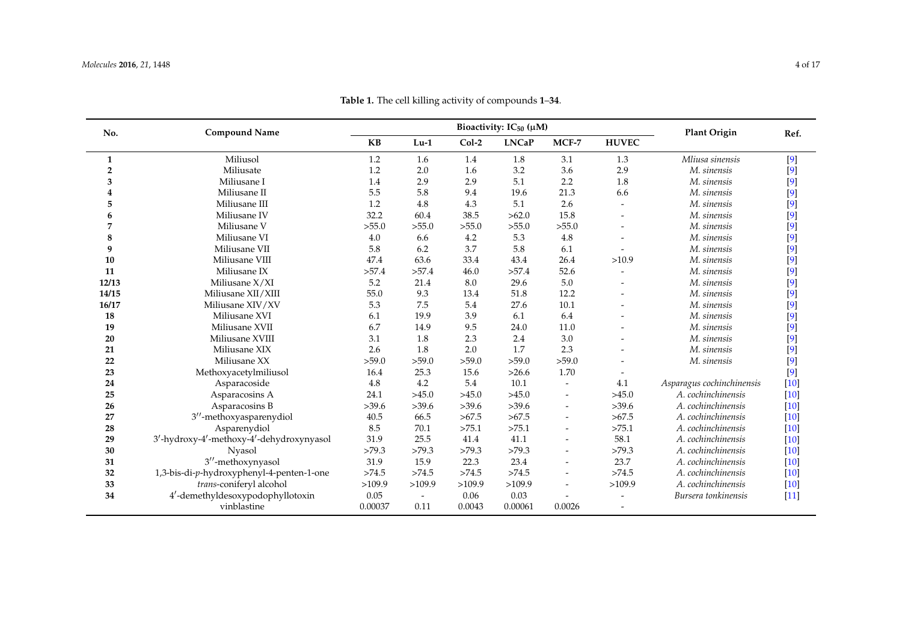| No.            | <b>Compound Name</b>                      | Bioactivity: $IC_{50} (\mu M)$ |                          |         |              |                          | <b>Plant Origin</b>      | Ref.                      |        |
|----------------|-------------------------------------------|--------------------------------|--------------------------|---------|--------------|--------------------------|--------------------------|---------------------------|--------|
|                |                                           | <b>KB</b>                      | $Lu-1$                   | $Col-2$ | <b>LNCaP</b> | MCF-7                    | <b>HUVEC</b>             |                           |        |
| $\mathbf{1}$   | Miliusol                                  | 1.2                            | 1.6                      | 1.4     | 1.8          | 3.1                      | 1.3                      | Mliusa sinensis           | $[9]$  |
| $\overline{2}$ | Miliusate                                 | 1.2                            | 2.0                      | 1.6     | 3.2          | 3.6                      | 2.9                      | M. sinensis               | $[9]$  |
| 3              | Miliusane I                               | 1.4                            | 2.9                      | 2.9     | 5.1          | 2.2                      | 1.8                      | M. sinensis               | $[9]$  |
| 4              | Miliusane II                              | 5.5                            | 5.8                      | 9.4     | 19.6         | 21.3                     | 6.6                      | M. sinensis               | $[9]$  |
| 5              | Miliusane III                             | 1.2                            | 4.8                      | 4.3     | 5.1          | 2.6                      |                          | M. sinensis               | $[9]$  |
| 6              | Miliusane IV                              | 32.2                           | 60.4                     | 38.5    | >62.0        | 15.8                     |                          | M. sinensis               | $[9]$  |
| 7              | Miliusane V                               | >55.0                          | >55.0                    | >55.0   | >55.0        | >55.0                    |                          | M. sinensis               | $[9]$  |
| 8              | Miliusane VI                              | 4.0                            | 6.6                      | 4.2     | 5.3          | 4.8                      |                          | M. sinensis               | $[9]$  |
| 9              | Miliusane VII                             | 5.8                            | 6.2                      | 3.7     | 5.8          | 6.1                      | $\overline{\phantom{a}}$ | M. sinensis               | $[9]$  |
| 10             | Miliusane VIII                            | 47.4                           | 63.6                     | 33.4    | 43.4         | 26.4                     | >10.9                    | M. sinensis               | $[9]$  |
| 11             | Miliusane IX                              | >57.4                          | >57.4                    | 46.0    | >57.4        | 52.6                     |                          | M. sinensis               | $[9]$  |
| 12/13          | Miliusane $X/XI$                          | 5.2                            | 21.4                     | 8.0     | 29.6         | 5.0                      |                          | M. sinensis               | $[9]$  |
| 14/15          | Miliusane XII/XIII                        | 55.0                           | 9.3                      | 13.4    | 51.8         | 12.2                     |                          | M. sinensis               | $[9]$  |
| 16/17          | Miliusane XIV/XV                          | 5.3                            | 7.5                      | 5.4     | 27.6         | 10.1                     |                          | M. sinensis               | $[9]$  |
| 18             | Miliusane XVI                             | 6.1                            | 19.9                     | 3.9     | 6.1          | 6.4                      |                          | M. sinensis               | $[9]$  |
| 19             | Miliusane XVII                            | 6.7                            | 14.9                     | 9.5     | 24.0         | 11.0                     |                          | M. sinensis               | $[9]$  |
| 20             | Miliusane XVIII                           | 3.1                            | 1.8                      | 2.3     | 2.4          | 3.0                      |                          | M. sinensis               | $[9]$  |
| 21             | Miliusane XIX                             | 2.6                            | 1.8                      | 2.0     | 1.7          | 2.3                      |                          | M. sinensis               | $[9]$  |
| 22             | Miliusane XX                              | >59.0                          | >59.0                    | >59.0   | >59.0        | >59.0                    |                          | M. sinensis               | $[9]$  |
| 23             | Methoxyacetylmiliusol                     | 16.4                           | 25.3                     | 15.6    | >26.6        | 1.70                     |                          |                           | $[9]$  |
| 24             | Asparacoside                              | $4.8\,$                        | 4.2                      | 5.4     | 10.1         | $\overline{a}$           | 4.1                      | Asparagus cochinchinensis | $[10]$ |
| 25             | Asparacosins A                            | 24.1                           | >45.0                    | >45.0   | >45.0        | $\overline{\phantom{a}}$ | >45.0                    | A. cochinchinensis        | $[10]$ |
| 26             | Asparacosins B                            | >39.6                          | >39.6                    | >39.6   | >39.6        | $\overline{\phantom{a}}$ | >39.6                    | A. cochinchinensis        | $[10]$ |
| 27             | 3"-methoxyasparenydiol                    | 40.5                           | 66.5                     | >67.5   | >67.5        | $\overline{\phantom{a}}$ | >67.5                    | A. cochinchinensis        | $[10]$ |
| 28             | Asparenydiol                              | 8.5                            | 70.1                     | >75.1   | >75.1        | $\overline{\phantom{a}}$ | >75.1                    | A. cochinchinensis        | $[10]$ |
| 29             | 3'-hydroxy-4'-methoxy-4'-dehydroxynyasol  | 31.9                           | 25.5                     | 41.4    | 41.1         | $\overline{\phantom{a}}$ | 58.1                     | A. cochinchinensis        | $[10]$ |
| 30             | <b>Nyasol</b>                             | >79.3                          | >79.3                    | >79.3   | >79.3        | $\overline{\phantom{a}}$ | >79.3                    | A. cochinchinensis        | [10]   |
| 31             | 3"-methoxynyasol                          | 31.9                           | 15.9                     | 22.3    | 23.4         |                          | 23.7                     | A. cochinchinensis        | $[10]$ |
| 32             | 1,3-bis-di-p-hydroxyphenyl-4-penten-1-one | >74.5                          | >74.5                    | >74.5   | >74.5        | $\overline{\phantom{a}}$ | >74.5                    | A. cochinchinensis        | $[10]$ |
| 33             | trans-coniferyl alcohol                   | >109.9                         | >109.9                   | >109.9  | >109.9       |                          | >109.9                   | A. cochinchinensis        | $[10]$ |
| 34             | 4'-demethyldesoxypodophyllotoxin          | 0.05                           | $\overline{\phantom{a}}$ | 0.06    | 0.03         |                          |                          | Bursera tonkinensis       | $[11]$ |
|                | vinblastine                               | 0.00037                        | 0.11                     | 0.0043  | 0.00061      | 0.0026                   |                          |                           |        |

**Table 1.** The cell killing activity of compounds **1**–**34**.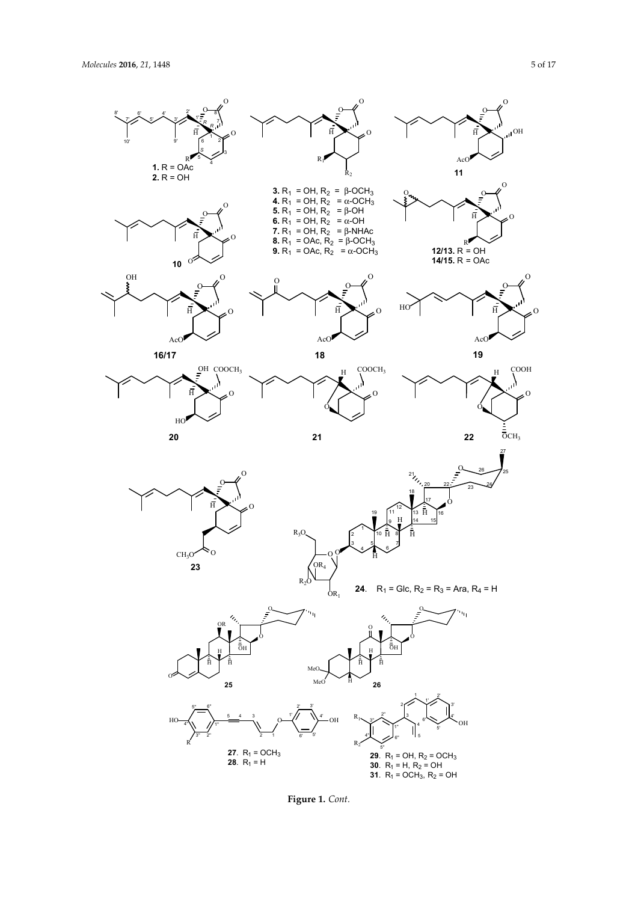

**Figure 1.** *Cont.* **Figure 1.** *Cont.*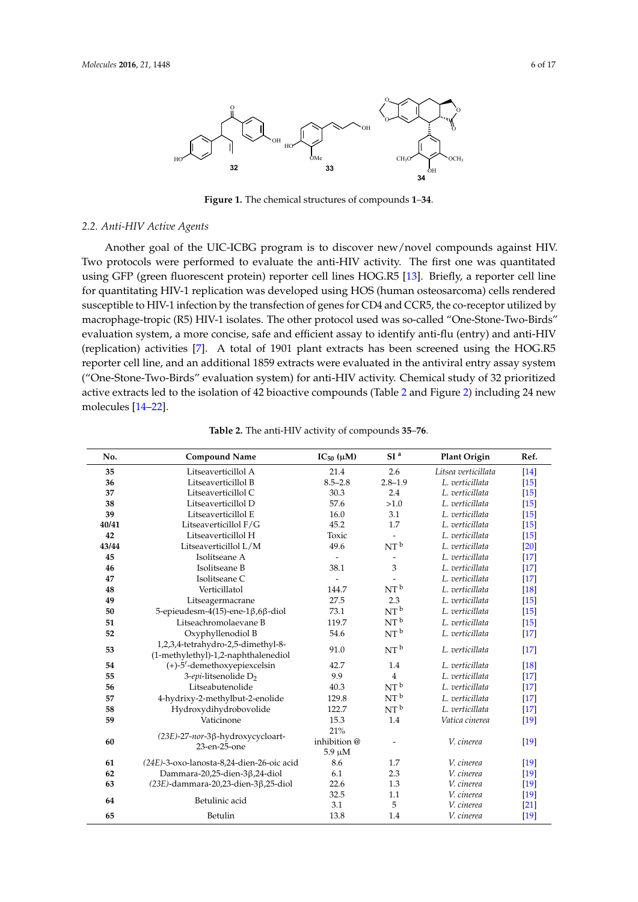

**Figure 1.** The chemical structures of compounds **1**–**34**. **Figure 1.** The chemical structures of compounds **1**–**34**.

### *2.2. Anti-HIV Active Agents 2.2. Anti-HIV Active Agents*

Another goal of the UIC-ICBG program is to discover new/novel compounds against HIV. Two protocols were performed to evaluate the anti-HIV activity. The first one was quantitated using GFP (green fluorescent protein) reporter cell lines HOG.R5 [13]. Briefly, a reporter cell line for quantitating HIV-1 replication was developed using HOS (human osteosarcoma) cells rendered  $\frac{1}{100}$  infection by the transfection by the transfection of  $\frac{1}{100}$  and  $\frac{1}{100}$  correction  $\frac{1}{100}$  in  $\frac{1}{100}$  in  $\frac{1}{100}$ susceptible to HIV-1 infection by the transfection of genes for CD4 and CCR5, the co-receptor utilized by<br> $\Gamma$ Birds" evaluation system, a more concise, safe and efficient assay to identify anti-flu (entry) and anti-macrophage-tropic (R5) HIV-1 isolates. The other protocol used was so-called "One-Stone-Two-Birds" evaluation system, a more concise, safe and efficient assay to identify anti-flu (entry) and anti-HIV (replication) activities [7].  $\,$  A total of 1901 plant extracts has been screened using the  $HOG.R5$ reporter cell line, and an additional 1859 extracts were evaluated in the antiviral entry assay system ("One-Stone-Two-Birds" evaluation system) for anti-HIV activity. Chemical study of 32 prioritized active extracts led to the isolation of 42 bioactive compounds (Table 2 and Figure 2) including 24 new molecules [14–22].

| No.   | <b>Compound Name</b>                                                      | $IC_{50}$ ( $\mu$ M)       | SI <sup>a</sup> | Plant Origin        | Ref.   |
|-------|---------------------------------------------------------------------------|----------------------------|-----------------|---------------------|--------|
| 35    | Litseaverticillol A                                                       | 21.4                       | 2.6             | Litsea verticillata | $[14]$ |
| 36    | Litseaverticillol B                                                       | $8.5 - 2.8$                | $2.8 - 1.9$     | L. verticillata     | $[15]$ |
| 37    | Litseaverticillol C                                                       | 30.3                       | 2.4             | L. verticillata     | $[15]$ |
| 38    | Litseaverticillol D                                                       | 57.6                       | >1.0            | L. verticillata     | $[15]$ |
| 39    | Litseaverticillol E                                                       | 16.0                       | 3.1             | L. verticillata     | $[15]$ |
| 40/41 | Litseaverticillol F/G                                                     | 45.2                       | 1.7             | L. verticillata     | $[15]$ |
| 42    | Litseaverticillol H                                                       | Toxic                      |                 | L. verticillata     | $[15]$ |
| 43/44 | Litseaverticillol L/M                                                     | 49.6                       | NT <sup>b</sup> | L. verticillata     | $[20]$ |
| 45    | Isolitseane A                                                             | $\overline{\phantom{a}}$   |                 | L. verticillata     | $[17]$ |
| 46    | Isolitseane B                                                             | 38.1                       | 3               | L. verticillata     | $[17]$ |
| 47    | Isolitseane C                                                             |                            |                 | L. verticillata     | $[17]$ |
| 48    | Verticillatol                                                             | 144.7                      | NT <sup>b</sup> | L. verticillata     | $[18]$ |
| 49    | Litseagermacrane                                                          | 27.5                       | 2.3             | L. verticillata     | $[15]$ |
| 50    | 5-epieudesm-4(15)-ene-1 $\beta$ ,6 $\beta$ -diol                          | 73.1                       | NT <sup>b</sup> | L. verticillata     | $[15]$ |
| 51    | Litseachromolaevane B                                                     | 119.7                      | NT <sup>b</sup> | L. verticillata     | $[15]$ |
| 52    | Oxyphyllenodiol B                                                         | 54.6                       | NT <sup>b</sup> | L. verticillata     | $[17]$ |
| 53    | 1,2,3,4-tetrahydro-2,5-dimethyl-8-<br>(1-methylethyl)-1,2-naphthalenediol | 91.0                       | NT <sup>b</sup> | L. verticillata     | $[17]$ |
| 54    | (+)-5'-demethoxyepiexcelsin                                               | 42.7                       | 1.4             | L. verticillata     | [18]   |
| 55    | 3-epi-litsenolide D <sub>2</sub>                                          | 9.9                        | $\overline{4}$  | L. verticillata     | $[17]$ |
| 56    | Litseabutenolide                                                          | 40.3                       | NT <sup>b</sup> | L. verticillata     | $[17]$ |
| 57    | 4-hydrixy-2-methylbut-2-enolide                                           | 129.8                      | NT <sup>b</sup> | L. verticillata     | $[17]$ |
| 58    | Hydroxydihydrobovolide                                                    | 122.7                      | NT <sup>b</sup> | L. verticillata     | $[17]$ |
| 59    | Vaticinone                                                                | 15.3                       | 1.4             | Vatica cinerea      | $[19]$ |
|       |                                                                           | 21%                        |                 |                     |        |
| 60    | (23E)-27-nor-3β-hydroxycycloart-<br>23-en-25-one                          | inhibition@<br>$5.9 \mu M$ |                 | V. cinerea          | $[19]$ |
| 61    | (24E)-3-oxo-lanosta-8,24-dien-26-oic acid                                 | 8.6                        | 1.7             | V. cinerea          | $[19]$ |
| 62    | Dammara-20,25-dien-3ß,24-diol                                             | 6.1                        | 2.3             | V. cinerea          | $[19]$ |
| 63    | $(23E)$ -dammara-20,23-dien-3 $\beta$ ,25-diol                            | 22.6                       | 1.3             | V. cinerea          | $[19]$ |
|       |                                                                           | 32.5                       | 1.1             | V. cinerea          | $[19]$ |
| 64    | Betulinic acid                                                            | 3.1                        | 5               | V. cinerea          | $[21]$ |
| 65    | Betulin                                                                   | 13.8                       | 1.4             | V. cinerea          | $[19]$ |

**No. Compound Name IC50 (µM) SI a Plant Origin Ref. Table 2.** The anti-HIV activity of compounds **35**–**76**.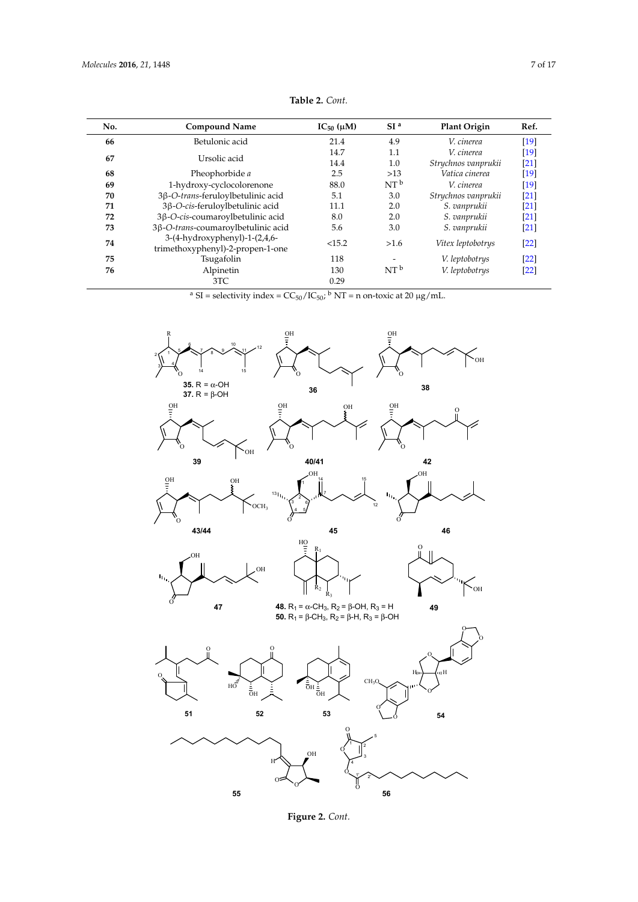| No.                  | <b>Compound Name</b>                                              | $IC_{50}(\mu M)$ | SI <sup>a</sup> | <b>Plant Origin</b> | Ref.   |
|----------------------|-------------------------------------------------------------------|------------------|-----------------|---------------------|--------|
| Betulonic acid<br>66 |                                                                   | 21.4             | 4.9             | V. cinerea          | [19]   |
| 67                   |                                                                   | 14.7             | 1.1             | V. cinerea          | [19]   |
|                      | Ursolic acid                                                      | 14.4             | 1.0             | Strychnos vanprukii | [21]   |
| 68                   | Pheophorbide a                                                    | 2.5              | $>13$           | Vatica cinerea      | [19]   |
| 69                   | 1-hydroxy-cyclocolorenone                                         | 88.0             | NT <sup>b</sup> | V. cinerea          | [19]   |
| 70                   | 3β-O-trans-feruloylbetulinic acid                                 | 5.1              | 3.0             | Strychnos vanprukii | [21]   |
| 71                   | 3β-O-cis-feruloylbetulinic acid                                   | 11.1             | 2.0             | S. vanprukii        | [21]   |
| 72                   | 3β-O-cis-coumaroylbetulinic acid                                  | 8.0              | 2.0             | S. vanprukii        | [21]   |
| 73                   | 3β-O-trans-coumaroylbetulinic acid                                | 5.6              | 3.0             | S. vanprukii        | $[21]$ |
| 74                   | 3-(4-hydroxyphenyl)-1-(2,4,6-<br>trimethoxyphenyl)-2-propen-1-one | <15.2            | >1.6            | Vitex leptobotrys   | [22]   |
| 75                   | Tsugafolin                                                        | 118              |                 | V. leptobotrys      | [22]   |
| 76                   | Alpinetin                                                         | 130              | NT <sup>b</sup> | V. leptobotrys      | [22]   |
|                      | 3TC                                                               | 0.29             |                 |                     |        |

**Table 2.** *Cont.*

<sup>a</sup> SI = selectivity index =  $CC_{50}/IC_{50}$ ; <sup>b</sup> NT = n on-toxic at 20  $\mu$ g/mL. <sup>a</sup> SI = selectivity index =  $CC_{50}/IC_{50}$ ; <sup>b</sup> NT = n on-toxic at 20  $\mu$ g/mL.



**Figure 2.** *Cont.* **Figure 2.** *Cont.*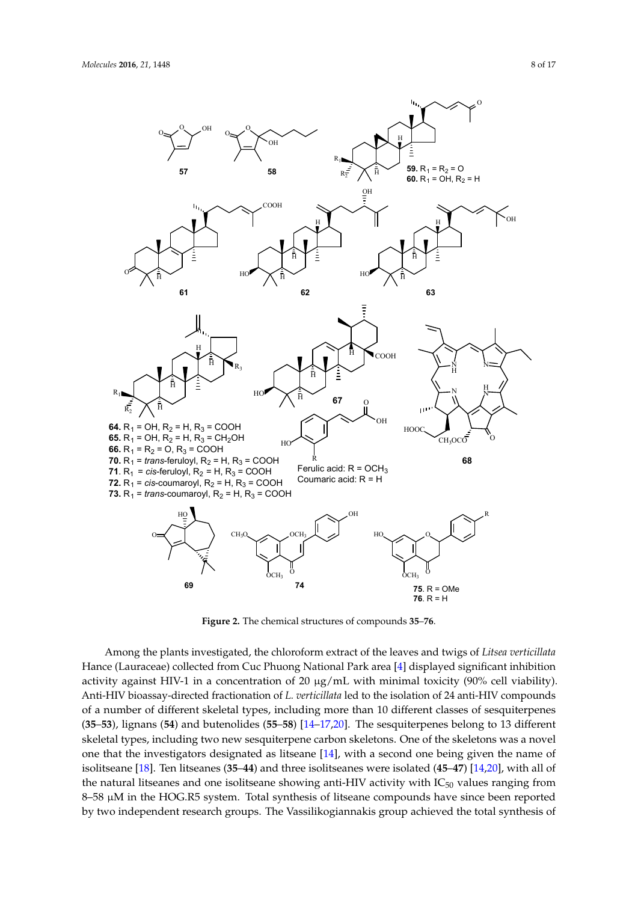

**Figure 2.** The chemical structures of compounds **35**–**76**. **Figure 2.** The chemical structures of compounds **35**–**76**.

Among the plants investigated, the chloroform extract of the leaves and twigs of *Litsea verticillata* Hance (Lauraceae) collected from Cuc Phuong National Park area [4] displayed significant inhibition activity against HIV-1 in a concentration of 20 µg/mL with minimal toxicity (90% cell viability). Anti-HIV bioassay-directed fractionation of *L. verticillata* led to the isolation of 24 anti-HIV compounds of a number of different skeletal types, including more than 10 different classes of sesquiterpenes  $(35-53)$ , lignans (54) and butenolides (55-58) [14-17,20]. The sesquiterpenes belong to 13 different  $t_{\rm s}$  the investigators designated as  $\alpha$  is equiveness on  $\alpha$  second one being  $\alpha$  one of the skeletons were on skeletal types, including two new sesquiterpene carbon skeletons. One of the skeletons was a novel one that the investigators designated as litseane [14], with a second one being given the name of isolitseane [18]. Ten litseanes (35–44) and three isolitseanes were isolated (45–47) [14,20], with all of the natural litseanes and one isolitseane showing anti-HIV activity with  $IC_{50}$  values ranging from 8–58 µM in the HOG.R5 system. Total synthesis of litseane compounds have since been reported by two independent research groups. The Vassilikogiannakis group achieved the total synthesis of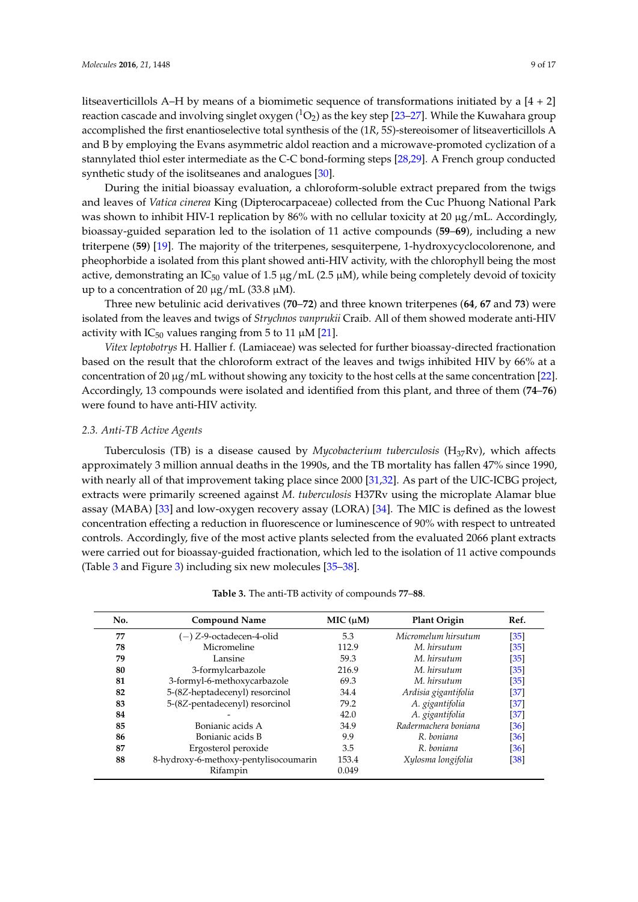litseaverticillols A–H by means of a biomimetic sequence of transformations initiated by a  $[4 + 2]$ reaction cascade and involving singlet oxygen  $(^1O_2)$  as the key step [23–27]. While the Kuwahara group accomplished the first enantioselective total synthesis of the (1*R*, 5*S*)-stereoisomer of litseaverticillols A and B by employing the Evans asymmetric aldol reaction and a microwave-promoted cyclization of a stannylated thiol ester intermediate as the C-C bond-forming steps [28,29]. A French group conducted synthetic study of the isolitseanes and analogues [30].

During the initial bioassay evaluation, a chloroform-soluble extract prepared from the twigs and leaves of *Vatica cinerea* King (Dipterocarpaceae) collected from the Cuc Phuong National Park was shown to inhibit HIV-1 replication by 86% with no cellular toxicity at 20  $\mu$ g/mL. Accordingly, bioassay-guided separation led to the isolation of 11 active compounds (**59**–**69**), including a new triterpene (**59**) [19]. The majority of the triterpenes, sesquiterpene, 1-hydroxycyclocolorenone, and pheophorbide a isolated from this plant showed anti-HIV activity, with the chlorophyll being the most active, demonstrating an IC<sub>50</sub> value of 1.5  $\mu$ g/mL (2.5  $\mu$ M), while being completely devoid of toxicity up to a concentration of 20  $\mu$ g/mL (33.8  $\mu$ M).

Three new betulinic acid derivatives (**70**–**72**) and three known triterpenes (**64**, **67** and **73**) were isolated from the leaves and twigs of *Strychnos vanprukii* Craib. All of them showed moderate anti-HIV activity with  $IC_{50}$  values ranging from 5 to 11  $\mu$ M [21].

*Vitex leptobotrys* H. Hallier f. (Lamiaceae) was selected for further bioassay-directed fractionation based on the result that the chloroform extract of the leaves and twigs inhibited HIV by 66% at a concentration of 20 µg/mL without showing any toxicity to the host cells at the same concentration [22]. Accordingly, 13 compounds were isolated and identified from this plant, and three of them (**74**–**76**) were found to have anti-HIV activity.

#### *2.3. Anti-TB Active Agents*

Tuberculosis (TB) is a disease caused by *Mycobacterium tuberculosis* (H37Rv), which affects approximately 3 million annual deaths in the 1990s, and the TB mortality has fallen 47% since 1990, with nearly all of that improvement taking place since 2000 [31,32]. As part of the UIC-ICBG project, extracts were primarily screened against *M. tuberculosis* H37Rv using the microplate Alamar blue assay (MABA) [33] and low-oxygen recovery assay (LORA) [34]. The MIC is defined as the lowest concentration effecting a reduction in fluorescence or luminescence of 90% with respect to untreated controls. Accordingly, five of the most active plants selected from the evaluated 2066 plant extracts were carried out for bioassay-guided fractionation, which led to the isolation of 11 active compounds (Table 3 and Figure 3) including six new molecules [35–38].

| No. | <b>Compound Name</b>                  | MIC (µM) | <b>Plant Origin</b>  | Ref.              |
|-----|---------------------------------------|----------|----------------------|-------------------|
| 77  | $(-)$ Z-9-octadecen-4-olid            | 5.3      | Micromelum hirsutum  | $[35]$            |
| 78  | Micromeline                           | 112.9    | M. hirsutum          | [35]              |
| 79  | Lansine                               | 59.3     | M. hirsutum          | [35]              |
| 80  | 3-formylcarbazole                     | 216.9    | M. hirsutum          | [35]              |
| 81  | 3-formyl-6-methoxycarbazole           | 69.3     | M. hirsutum          | $[35]$            |
| 82  | 5-(8Z-heptadecenyl) resorcinol        | 34.4     | Ardisia gigantifolia | [37]              |
| 83  | 5-(8Z-pentadecenyl) resorcinol        | 79.2     | A. gigantifolia      | $[37]$            |
| 84  |                                       | 42.0     | A. gigantifolia      | $[37]$            |
| 85  | Bonianic acids A                      | 34.9     | Radermachera boniana | [36]              |
| 86  | Bonianic acids B                      | 9.9      | R. boniana           | $\left[36\right]$ |
| 87  | Ergosterol peroxide                   | 3.5      | R. boniana           | [36]              |
| 88  | 8-hydroxy-6-methoxy-pentylisocoumarin | 153.4    | Xylosma longifolia   | [38]              |
|     | Rifampin                              | 0.049    |                      |                   |

**Table 3.** The anti-TB activity of compounds **77**–**88**.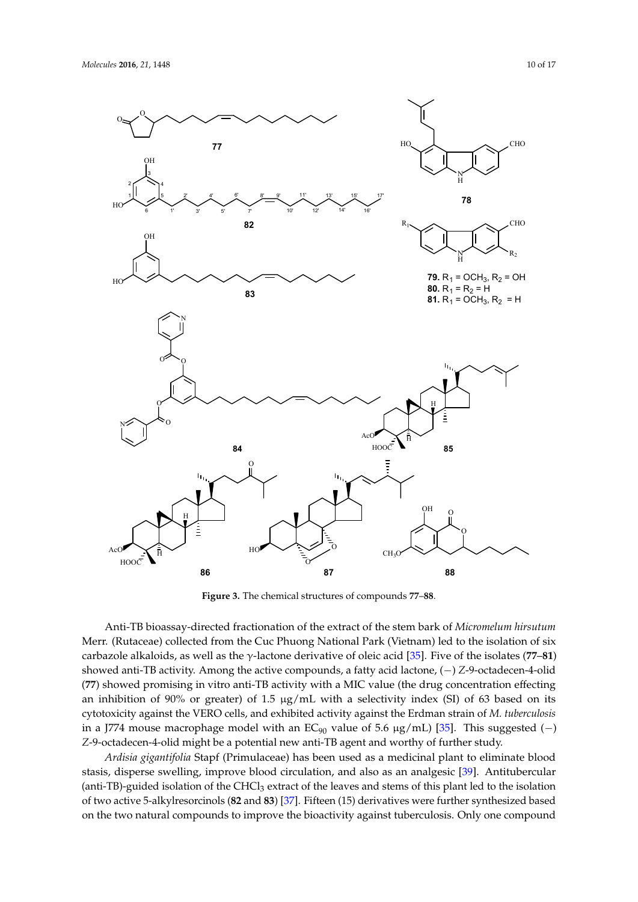

**Figure 3.** The chemical structures of compounds **77**–**88**. **Figure 3.** The chemical structures of compounds **77**–**88**.

Anti-TB bioassay-directed fractionation of the extract of the stem bark of *Micromelum hirsutum* Anti-TB bioassay-directed fractionation of the extract of the stem bark of *Micromelum hirsutum* Merr. (Rutaceae) collected from the Cuc Phuong National Park (Vietnam) led to the isolation of six Merr. (Rutaceae) collected from the Cuc Phuong National Park (Vietnam) led to the isolation of six  $\alpha$  arbazole alkaloids, as well as the  $\gamma$ -lactone derivative of oleic acid [35]. Five of the isolates (77–81) showed anti-TB activity. Among the active compounds, a fatty acid lactone, showed anti-TB activity. Among the active compounds, a fatty acid lactone, (−) *Z*-9-octadecen-4-olid (−) *Z*-9-octadecen-4-olid (**77**) showed promising in vitro anti-TB activity with a MIC value (the drug (**77**) showed promising in vitro anti-TB activity with a MIC value (the drug concentration effecting an inhibition of  $90\%$  or greater) of 1.5  $\mu$ g/mL with a selectivity index (SI) of 63 based on its 63 based on its cytotoxicity against the VERO cells, and exhibited activity against the Erdman strain cytotoxicity against the VERO cells, and exhibited activity against the Erdman strain of *M. tuberculosis* of *M. tuberculosis* in a J774 mouse macrophage model with an EC90 value of 5.6 µg/mL) [35]. This in a J774 mouse macrophage model with an EC<sup>90</sup> value of 5.6 µg/mL) [35]. This suggested (−) suggested (−) *Z*-9-octadecen-4-olid might be a potential new anti-TB agent and worthy of further study. *Z*-9-octadecen-4-olid might be a potential new anti-TB agent and worthy of further study.

*Ardisia gigantifolia* Stapf (Primulaceae) has been used as a medicinal plant to eliminate blood *Ardisia gigantifolia* Stapf (Primulaceae) has been used as a medicinal plant to eliminate blood stasis, disperse swelling, improve blood circulation, and also as an analgesic [39]. Antitubercular stasis, disperse swelling, improve blood circulation, and also as an analgesic [39]. Antitubercular (anti-TB)-guided isolation of the CHCl3 extract of the leaves and stems of this plant led to the isolation (anti-TB)-guided isolation of the CHCl<sup>3</sup> extract of the leaves and stems of this plant led to the isolation of two active 5-alkylresorcinols (82 and 83) [37]. Fifteen (15) derivatives were further synthesized based  $\mathbf{b}$  the two natural compounds to improve the bioactivity against tuberculosis. Only one compounds on the two natural compounds to improve the bioactivity against tuberculosis. Only one compounds on the two natural compounds to improve the bioactivity against tuberculosis. Only one compound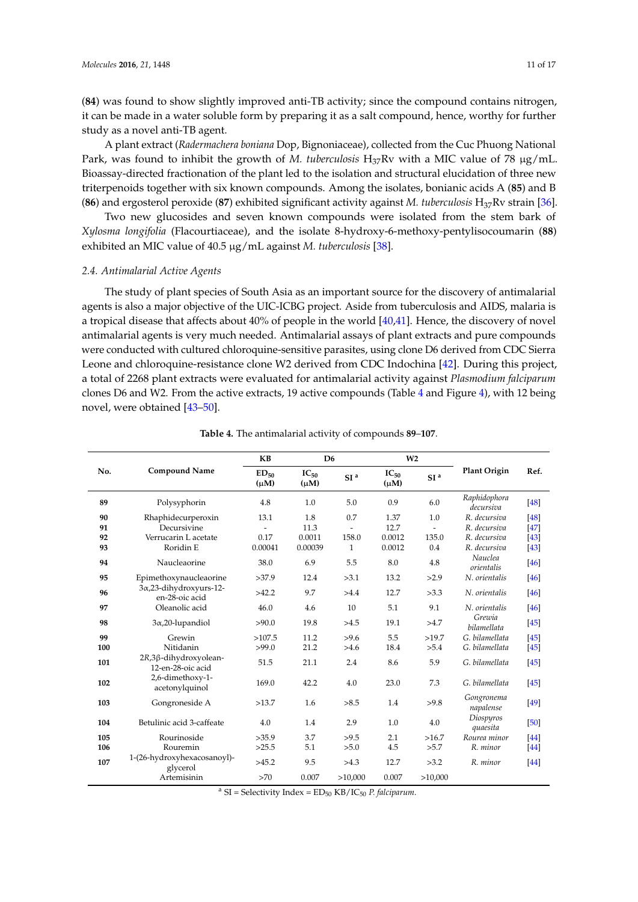(**84**) was found to show slightly improved anti-TB activity; since the compound contains nitrogen, it can be made in a water soluble form by preparing it as a salt compound, hence, worthy for further study as a novel anti-TB agent.

A plant extract (*Radermachera boniana* Dop, Bignoniaceae), collected from the Cuc Phuong National Park, was found to inhibit the growth of *M. tuberculosis* H<sub>37</sub>Rv with a MIC value of 78 µg/mL. Bioassay-directed fractionation of the plant led to the isolation and structural elucidation of three new triterpenoids together with six known compounds. Among the isolates, bonianic acids A (**85**) and B (**86**) and ergosterol peroxide (**87**) exhibited significant activity against *M. tuberculosis* H37Rv strain [36].

Two new glucosides and seven known compounds were isolated from the stem bark of *Xylosma longifolia* (Flacourtiaceae), and the isolate 8-hydroxy-6-methoxy-pentylisocoumarin (**88**) exhibited an MIC value of 40.5 µg/mL against *M. tuberculosis* [38].

#### *2.4. Antimalarial Active Agents*

The study of plant species of South Asia as an important source for the discovery of antimalarial agents is also a major objective of the UIC-ICBG project. Aside from tuberculosis and AIDS, malaria is a tropical disease that affects about 40% of people in the world [40,41]. Hence, the discovery of novel antimalarial agents is very much needed. Antimalarial assays of plant extracts and pure compounds were conducted with cultured chloroquine-sensitive parasites, using clone D6 derived from CDC Sierra Leone and chloroquine-resistance clone W2 derived from CDC Indochina [42]. During this project, a total of 2268 plant extracts were evaluated for antimalarial activity against *Plasmodium falciparum* clones D6 and W2. From the active extracts, 19 active compounds (Table 4 and Figure 4), with 12 being novel, were obtained [43–50].

| No. | <b>Compound Name</b>                       | <b>KB</b>              | D <sub>6</sub>         |                 | W <sub>2</sub>         |                 |                           |                   |
|-----|--------------------------------------------|------------------------|------------------------|-----------------|------------------------|-----------------|---------------------------|-------------------|
|     |                                            | $ED_{50}$<br>$(\mu M)$ | $IC_{50}$<br>$(\mu M)$ | SI <sup>a</sup> | $IC_{50}$<br>$(\mu M)$ | SI <sup>a</sup> | <b>Plant Origin</b>       | Ref.              |
| 89  | Polysyphorin                               | 4.8                    | 1.0                    | 5.0             | 0.9                    | 6.0             | Raphidophora<br>decursiva | $[48]$            |
| 90  | Rhaphidecurperoxin                         | 13.1                   | 1.8                    | 0.7             | 1.37                   | 1.0             | R. decursiva              | [48]              |
| 91  | Decursivine                                |                        | 11.3                   |                 | 12.7                   | $\overline{a}$  | R. decursiva              | $[47]$            |
| 92  | Verrucarin L acetate                       | 0.17                   | 0.0011                 | 158.0           | 0.0012                 | 135.0           | R. decursiva              | $[43]$            |
| 93  | Roridin E                                  | 0.00041                | 0.00039                | $\mathbf{1}$    | 0.0012                 | 0.4             | R. decursiva              | $[43]$            |
| 94  | Naucleaorine                               | 38.0                   | 6.9                    | 5.5             | 8.0                    | 4.8             | Nauclea<br>orientalis     | [46]              |
| 95  | Epimethoxynaucleaorine                     | >37.9                  | 12.4                   | >3.1            | 13.2                   | >2.9            | N. orientalis             | $[46]$            |
| 96  | 3x,23-dihydroxyurs-12-<br>en-28-oic acid   | >42.2                  | 9.7                    | >4.4            | 12.7                   | >3.3            | N. orientalis             | [46]              |
| 97  | Oleanolic acid                             | 46.0                   | 4.6                    | 10              | 5.1                    | 9.1             | N. orientalis             | $[46]$            |
| 98  | $3\alpha$ , 20-lupandiol                   | >90.0                  | 19.8                   | >4.5            | 19.1                   | >4.7            | Grewia<br>bilamellata     | [45]              |
| 99  | Grewin                                     | >107.5                 | 11.2                   | >9.6            | 5.5                    | >19.7           | G. bilamellata            | $\left[45\right]$ |
| 100 | Nitidanin                                  | >99.0                  | 21.2                   | >4.6            | 18.4                   | >5.4            | G. bilamellata            | $[45]$            |
| 101 | 2R,3β-dihydroxyolean-<br>12-en-28-oic acid | 51.5                   | 21.1                   | 2.4             | 8.6                    | 5.9             | G. bilamellata            | $[45]$            |
| 102 | 2,6-dimethoxy-1-<br>acetonylquinol         | 169.0                  | 42.2                   | 4.0             | 23.0                   | 7.3             | G. bilamellata            | [45]              |
| 103 | Gongroneside A                             | >13.7                  | 1.6                    | >8.5            | 1.4                    | >9.8            | Gongronema<br>napalense   | [49]              |
| 104 | Betulinic acid 3-caffeate                  | 4.0                    | 1.4                    | 2.9             | 1.0                    | 4.0             | Diospyros<br>quaesita     | [50]              |
| 105 | Rourinoside                                | >35.9                  | 3.7                    | >9.5            | 2.1                    | >16.7           | Rourea minor              | [44]              |
| 106 | Rouremin                                   | >25.5                  | 5.1                    | >5.0            | 4.5                    | >5.7            | R. minor                  | [44]              |
| 107 | 1-(26-hydroxyhexacosanoyl)-<br>glycerol    | >45.2                  | 9.5                    | >4.3            | 12.7                   | >3.2            | R. minor                  | [44]              |
|     | Artemisinin                                | >70                    | 0.007                  | >10,000         | 0.007                  | >10,000         |                           |                   |

**Table 4.** The antimalarial activity of compounds **89**–**107**.

 $a S =$ Selectivity Index = ED<sub>50</sub> KB/IC<sub>50</sub> *P. falciparum.*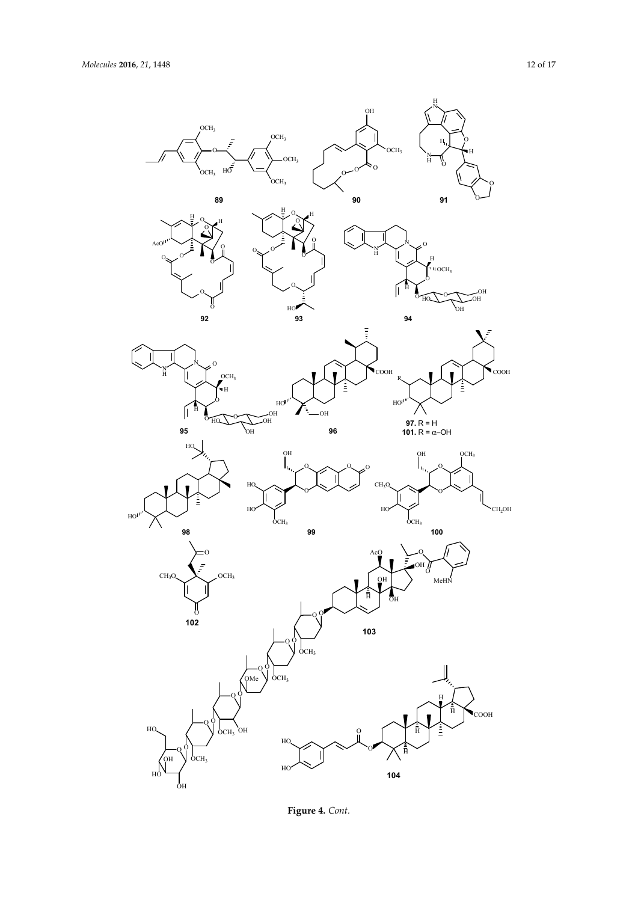

**Figure 4.** *Cont.* **Figure 4.** *Cont.*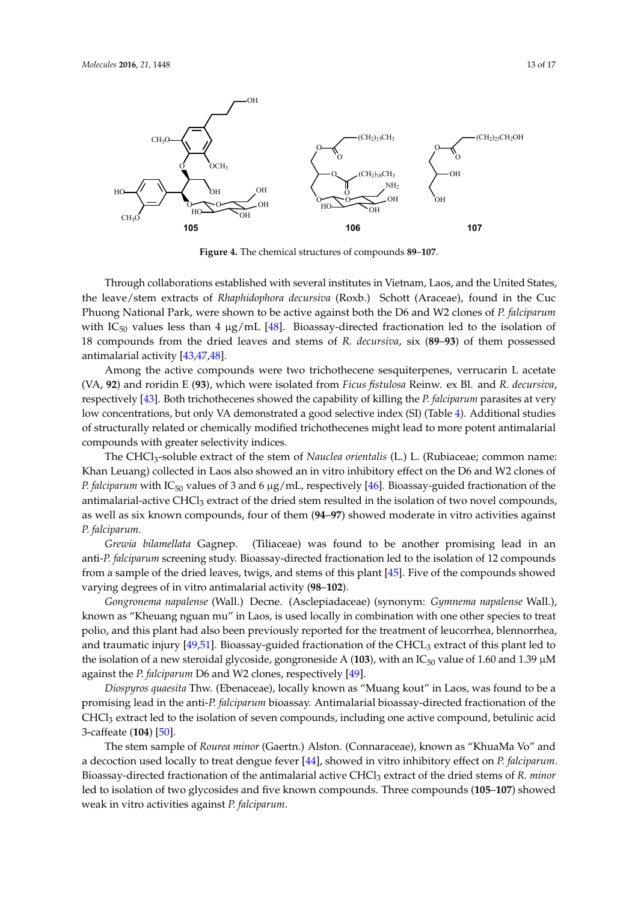

**Figure 4.** The chemical structures of compounds **89**–**107**. **Figure 4.** The chemical structures of compounds **89**–**107**.

Through collaborations established with several institutes in Vietnam, Laos, and the United Through collaborations established with several institutes in Vietnam, Laos, and the United States, States, the leave/stem extracts of *Rhaphidophora decursiva* (Roxb.) Schott (Araceae), found in the Cuc the leave/stem extracts of *Rhaphidophora decursiva* (Roxb.) Schott (Araceae), found in the Cuc Phuong National Park, were shown to be active against both the D6 and W2 clones of *P. falciparum* Phuong National Park, were shown to be active against both the D6 and W2 clones of *P. falciparum* with IC<sub>50</sub> values less than 4  $\mu$ g/mL [48]. Bioassay-directed fractionation led to the isolation of 18 compounds from the dried leaves and stems of R. decursiva, six (89–93) of them possessed antimalarial activity [43,47,48].

Among the active compounds were two trichothecene sesquiterpenes, verrucarin L acetate (VA, 92) and roridin E (93), which were isolated from *Ficus fistulosa* Reinw. ex Bl. and *R. decursiva*, respectively [43]. Both trichothecenes showed the capability of killing the *P. falciparum* parasites at very low and the *P. falciparum* parasites at very respectively [10]. Both thencentees showed the explositive of failing the *Frymeryth tim* partistics at very low concentrations, but only VA demonstrated a good selective index (SI) (Table 4). Additional studies structurally related or chemically modified trichothecenes might lead to more potent antimalarial of structurally related or chemically modified trichothecenes might lead to more potent antimalarial compounds with greater selectivity indices. compounds with greater selectivity indices.

The CHCl3-soluble extract of the stem of *Nauclea orientalis* (L.) L. (Rubiaceae; common name: The CHCl3-soluble extract of the stem of *Nauclea orientalis* (L.) L. (Rubiaceae; common name: Khan Leuang) collected in Laos also showed an in vitro inhibitory effect on the D6 and W2 clones of Khan Leuang) collected in Laos also showed an in vitro inhibitory effect on the D6 and W2 clones of *P. falciparum* with IC50 values of 3 and 6 µg/mL, respectively [46]. Bioassay-guided fractionation of *P. falciparum* with IC<sup>50</sup> values of 3 and 6 µg/mL, respectively [46]. Bioassay-guided fractionation of the the antimalarial-active CHCl<sub>3</sub> extract of the dried stem resulted in the isolation of two novel compounds, communication as well as six known compounds, for the moderate in the bounded of the never compounds, as well as six known compounds, four of them (**94–97**) showed moderate in vitro activities against<br>P. 64. i *P. falciparum*.

*Grewia bilamellata* Gagnep. (Tiliaceae) was found to be another promising lead in an *Grewia bilamellata* Gagnep. (Tiliaceae) was found to be another promising lead in an anti-*P. falciparum* screening study. Bioassay-directed fractionation led to the isolation of 12 compounds anti-*P. falciparum* screening study. Bioassay-directed fractionation led to the isolation of 12 compounds from a sympatric of the dried leaves, twisted matrix and stems of the dried of the compounds showed in the compounds showed in the compounds of the compounds of the compounds of the compounds of the compounds of the compou from a sample of the dried leaves, twigs, and stems of this plant [45]. Five of the compounds showed *Gongronema napalense* (Wall.) Decne. (Asclepiadaceae) (synonym: *Gymnema napalense* Wall.), varying degrees of in vitro antimalarial activity (**98**–**102**).

known as "Kheuang nguan mu" in Laos, is used locally in combination with one other species to treat *Gongronema napalense* (Wall.) Decne. (Asclepiadaceae) (synonym: *Gymnema napalense* Wall.), known as "Kheuang nguan mu" in Laos, is used locally in combination with one other species to treat<br>https://www.particle.org/with and the treaty in the treaty in the treaty in the treaty in the treaty in the tr polio, and this plant had also been previously reported for the treatment of leucorrhea, blennorrhea,  $\frac{1}{2}$ and traumatic injury [49,51]. Bioassay-guided fractionation of the CHCL<sub>3</sub> extract of this plant led to the contra<br>and traumatic injury [49,51]. Bioassay-guided fractionation of the CHCL<sub>3</sub> extract of this plant led to the isolation of a new steroidal glycoside, gongroneside A (**103**), with an IC<sub>50</sub> value of 1.60 and 1.39  $\mu$ M *Di*oceae, *included the Community Community community in Laos and the association in Laos and to be a multiple of the association of the association of the association of the association of the association of the associat* against the *P. falciparum* D6 and W2 clones, respectively [49].

*Diospyros quaesita* Thw. (Ebenaceae), locally known as "Muang kout" in Laos, was found to be a culpromising lead in the anti-*P. falciparum* bioassay. Antimalarial bioassay-directed fractionation of the compound, between the anti-*P. falciparum* bioassay. Antimalarial bioassay-directed fractionation of the 3-caffeate (**104**) [50]. CHCl<sup>3</sup> extract led to the isolation of seven compounds, including one active compound, betulinic acid The stem sample of *Rourea minor* (Gaertn.) Alston. (Connaraceae), known as ''KhuaMa Vo'' and 3-caffeate (**104**) [50].

The stem sample of *Rourea minor* (Gaertn.) Alston. (Connaraceae), known as "KhuaMa Vo" and **p.** 61. a decoction used locally to treat dengue fever [44], showed in vitro inhibitory effect on *P. falciparum*. Bioassay-directed fractionation of the antimalarial active CHCl<sub>3</sub> extract of the dried stems of *R. minor*<br>Bioassay-directed fractionation of the antimalarial active CHCl<sub>3</sub> extract of the dried stems of *R. minor* weak in vitro activities against *P. falciparum*. led to isolation of two glycosides and five known compounds. Three compounds (**105**–**107**) showed weak in vitro activities against *P. falciparum*.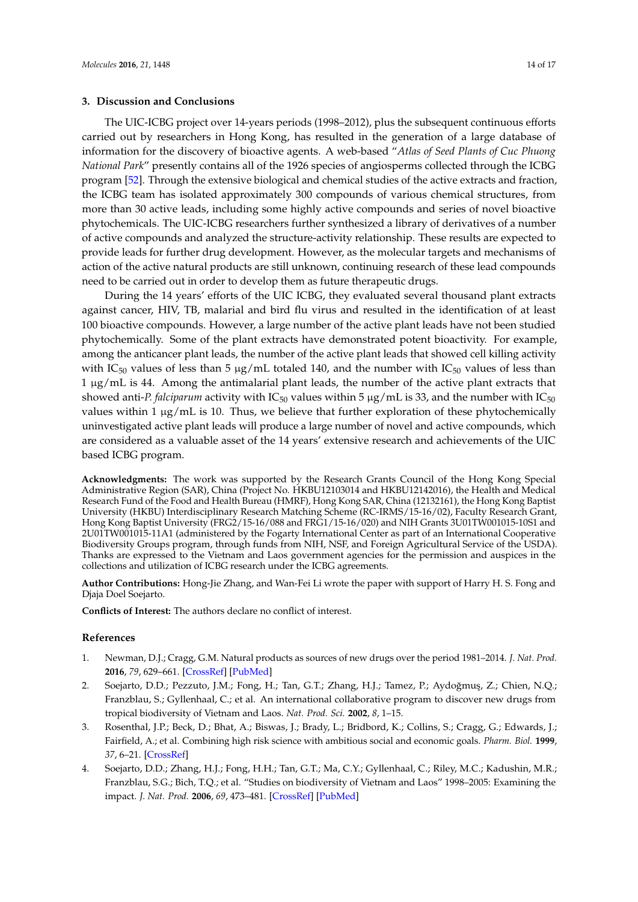#### **3. Discussion and Conclusions**

The UIC-ICBG project over 14-years periods (1998–2012), plus the subsequent continuous efforts carried out by researchers in Hong Kong, has resulted in the generation of a large database of information for the discovery of bioactive agents. A web-based "*Atlas of Seed Plants of Cuc Phuong National Park*" presently contains all of the 1926 species of angiosperms collected through the ICBG program [52]. Through the extensive biological and chemical studies of the active extracts and fraction, the ICBG team has isolated approximately 300 compounds of various chemical structures, from more than 30 active leads, including some highly active compounds and series of novel bioactive phytochemicals. The UIC-ICBG researchers further synthesized a library of derivatives of a number of active compounds and analyzed the structure-activity relationship. These results are expected to provide leads for further drug development. However, as the molecular targets and mechanisms of action of the active natural products are still unknown, continuing research of these lead compounds need to be carried out in order to develop them as future therapeutic drugs.

During the 14 years' efforts of the UIC ICBG, they evaluated several thousand plant extracts against cancer, HIV, TB, malarial and bird flu virus and resulted in the identification of at least 100 bioactive compounds. However, a large number of the active plant leads have not been studied phytochemically. Some of the plant extracts have demonstrated potent bioactivity. For example, among the anticancer plant leads, the number of the active plant leads that showed cell killing activity with IC<sub>50</sub> values of less than 5  $\mu$ g/mL totaled 140, and the number with IC<sub>50</sub> values of less than 1 µg/mL is 44. Among the antimalarial plant leads, the number of the active plant extracts that showed anti-*P. falciparum* activity with  $IC_{50}$  values within 5  $\mu$ g/mL is 33, and the number with  $IC_{50}$ values within 1  $\mu$ g/mL is 10. Thus, we believe that further exploration of these phytochemically uninvestigated active plant leads will produce a large number of novel and active compounds, which are considered as a valuable asset of the 14 years' extensive research and achievements of the UIC based ICBG program.

**Acknowledgments:** The work was supported by the Research Grants Council of the Hong Kong Special Administrative Region (SAR), China (Project No. HKBU12103014 and HKBU12142016), the Health and Medical Research Fund of the Food and Health Bureau (HMRF), Hong Kong SAR, China (12132161), the Hong Kong Baptist University (HKBU) Interdisciplinary Research Matching Scheme (RC-IRMS/15-16/02), Faculty Research Grant, Hong Kong Baptist University (FRG2/15-16/088 and FRG1/15-16/020) and NIH Grants 3U01TW001015-10S1 and 2U01TW001015-11A1 (administered by the Fogarty International Center as part of an International Cooperative Biodiversity Groups program, through funds from NIH, NSF, and Foreign Agricultural Service of the USDA). Thanks are expressed to the Vietnam and Laos government agencies for the permission and auspices in the collections and utilization of ICBG research under the ICBG agreements.

**Author Contributions:** Hong-Jie Zhang, and Wan-Fei Li wrote the paper with support of Harry H. S. Fong and Djaja Doel Soejarto.

**Conflicts of Interest:** The authors declare no conflict of interest.

#### **References**

- 1. Newman, D.J.; Cragg, G.M. Natural products as sources of new drugs over the period 1981–2014. *J. Nat. Prod.* **2016**, *79*, 629–661. [\[CrossRef\]](http://dx.doi.org/10.1021/acs.jnatprod.5b01055) [\[PubMed\]](http://www.ncbi.nlm.nih.gov/pubmed/26852623)
- 2. Soejarto, D.D.; Pezzuto, J.M.; Fong, H.; Tan, G.T.; Zhang, H.J.; Tamez, P.; Aydoğmuş, Z.; Chien, N.Q.; Franzblau, S.; Gyllenhaal, C.; et al. An international collaborative program to discover new drugs from tropical biodiversity of Vietnam and Laos. *Nat. Prod. Sci.* **2002**, *8*, 1–15.
- 3. Rosenthal, J.P.; Beck, D.; Bhat, A.; Biswas, J.; Brady, L.; Bridbord, K.; Collins, S.; Cragg, G.; Edwards, J.; Fairfield, A.; et al. Combining high risk science with ambitious social and economic goals. *Pharm. Biol.* **1999**, *37*, 6–21. [\[CrossRef\]](http://dx.doi.org/10.1076/1388-0209(200010)37:SUP;1-W;FT006)
- 4. Soejarto, D.D.; Zhang, H.J.; Fong, H.H.; Tan, G.T.; Ma, C.Y.; Gyllenhaal, C.; Riley, M.C.; Kadushin, M.R.; Franzblau, S.G.; Bich, T.Q.; et al. "Studies on biodiversity of Vietnam and Laos" 1998–2005: Examining the impact. *J. Nat. Prod.* **2006**, *69*, 473–481. [\[CrossRef\]](http://dx.doi.org/10.1021/np058107t) [\[PubMed\]](http://www.ncbi.nlm.nih.gov/pubmed/16562860)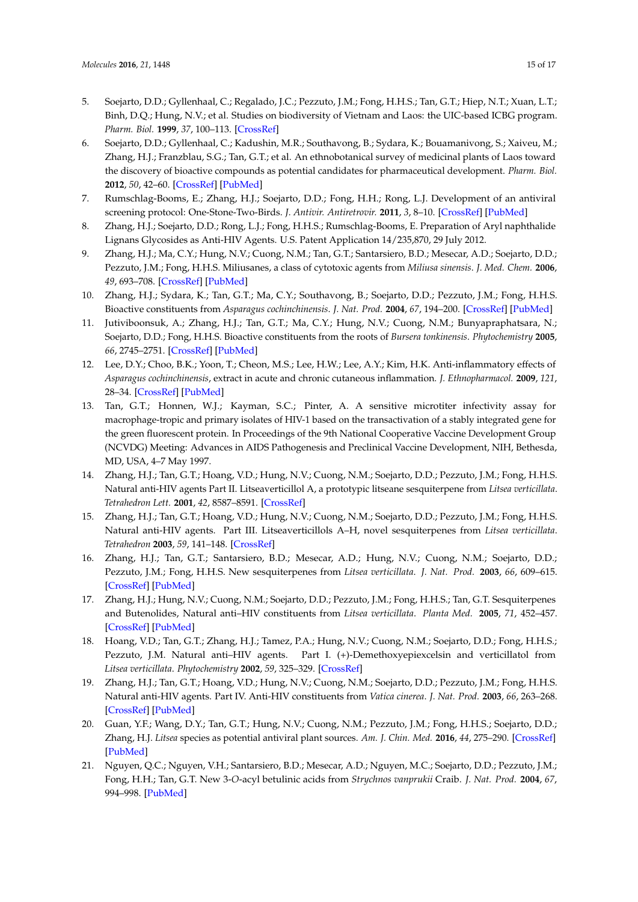- 5. Soejarto, D.D.; Gyllenhaal, C.; Regalado, J.C.; Pezzuto, J.M.; Fong, H.H.S.; Tan, G.T.; Hiep, N.T.; Xuan, L.T.; Binh, D.Q.; Hung, N.V.; et al. Studies on biodiversity of Vietnam and Laos: the UIC-based ICBG program. *Pharm. Biol.* **1999**, *37*, 100–113. [\[CrossRef\]](http://dx.doi.org/10.1076/1388-0209(200010)37:SUP;1-W;FT100)
- 6. Soejarto, D.D.; Gyllenhaal, C.; Kadushin, M.R.; Southavong, B.; Sydara, K.; Bouamanivong, S.; Xaiveu, M.; Zhang, H.J.; Franzblau, S.G.; Tan, G.T.; et al. An ethnobotanical survey of medicinal plants of Laos toward the discovery of bioactive compounds as potential candidates for pharmaceutical development. *Pharm. Biol.* **2012**, *50*, 42–60. [\[CrossRef\]](http://dx.doi.org/10.3109/13880209.2011.619700) [\[PubMed\]](http://www.ncbi.nlm.nih.gov/pubmed/22136442)
- 7. Rumschlag-Booms, E.; Zhang, H.J.; Soejarto, D.D.; Fong, H.H.; Rong, L.J. Development of an antiviral screening protocol: One-Stone-Two-Birds. *J. Antivir. Antiretrovir.* **2011**, *3*, 8–10. [\[CrossRef\]](http://dx.doi.org/10.4172/jaa.1000027) [\[PubMed\]](http://www.ncbi.nlm.nih.gov/pubmed/22140608)
- 8. Zhang, H.J.; Soejarto, D.D.; Rong, L.J.; Fong, H.H.S.; Rumschlag-Booms, E. Preparation of Aryl naphthalide Lignans Glycosides as Anti-HIV Agents. U.S. Patent Application 14/235,870, 29 July 2012.
- 9. Zhang, H.J.; Ma, C.Y.; Hung, N.V.; Cuong, N.M.; Tan, G.T.; Santarsiero, B.D.; Mesecar, A.D.; Soejarto, D.D.; Pezzuto, J.M.; Fong, H.H.S. Miliusanes, a class of cytotoxic agents from *Miliusa sinensis*. *J. Med. Chem.* **2006**, *49*, 693–708. [\[CrossRef\]](http://dx.doi.org/10.1021/jm0509492) [\[PubMed\]](http://www.ncbi.nlm.nih.gov/pubmed/16420055)
- 10. Zhang, H.J.; Sydara, K.; Tan, G.T.; Ma, C.Y.; Southavong, B.; Soejarto, D.D.; Pezzuto, J.M.; Fong, H.H.S. Bioactive constituents from *Asparagus cochinchinensis*. *J. Nat. Prod.* **2004**, *67*, 194–200. [\[CrossRef\]](http://dx.doi.org/10.1021/np030370b) [\[PubMed\]](http://www.ncbi.nlm.nih.gov/pubmed/14987058)
- 11. Jutiviboonsuk, A.; Zhang, H.J.; Tan, G.T.; Ma, C.Y.; Hung, N.V.; Cuong, N.M.; Bunyapraphatsara, N.; Soejarto, D.D.; Fong, H.H.S. Bioactive constituents from the roots of *Bursera tonkinensis*. *Phytochemistry* **2005**, *66*, 2745–2751. [\[CrossRef\]](http://dx.doi.org/10.1016/j.phytochem.2005.09.025) [\[PubMed\]](http://www.ncbi.nlm.nih.gov/pubmed/16289147)
- 12. Lee, D.Y.; Choo, B.K.; Yoon, T.; Cheon, M.S.; Lee, H.W.; Lee, A.Y.; Kim, H.K. Anti-inflammatory effects of *Asparagus cochinchinensis*, extract in acute and chronic cutaneous inflammation. *J. Ethnopharmacol.* **2009**, *121*, 28–34. [\[CrossRef\]](http://dx.doi.org/10.1016/j.jep.2008.07.006) [\[PubMed\]](http://www.ncbi.nlm.nih.gov/pubmed/18691647)
- 13. Tan, G.T.; Honnen, W.J.; Kayman, S.C.; Pinter, A. A sensitive microtiter infectivity assay for macrophage-tropic and primary isolates of HIV-1 based on the transactivation of a stably integrated gene for the green fluorescent protein. In Proceedings of the 9th National Cooperative Vaccine Development Group (NCVDG) Meeting: Advances in AIDS Pathogenesis and Preclinical Vaccine Development, NIH, Bethesda, MD, USA, 4–7 May 1997.
- 14. Zhang, H.J.; Tan, G.T.; Hoang, V.D.; Hung, N.V.; Cuong, N.M.; Soejarto, D.D.; Pezzuto, J.M.; Fong, H.H.S. Natural anti-HIV agents Part II. Litseaverticillol A, a prototypic litseane sesquiterpene from *Litsea verticillata*. *Tetrahedron Lett.* **2001**, *42*, 8587–8591. [\[CrossRef\]](http://dx.doi.org/10.1016/S0040-4039(01)01852-4)
- 15. Zhang, H.J.; Tan, G.T.; Hoang, V.D.; Hung, N.V.; Cuong, N.M.; Soejarto, D.D.; Pezzuto, J.M.; Fong, H.H.S. Natural anti-HIV agents. Part III. Litseaverticillols A–H, novel sesquiterpenes from *Litsea verticillata*. *Tetrahedron* **2003**, *59*, 141–148. [\[CrossRef\]](http://dx.doi.org/10.1016/S0040-4020(02)01491-6)
- 16. Zhang, H.J.; Tan, G.T.; Santarsiero, B.D.; Mesecar, A.D.; Hung, N.V.; Cuong, N.M.; Soejarto, D.D.; Pezzuto, J.M.; Fong, H.H.S. New sesquiterpenes from *Litsea verticillata*. *J. Nat. Prod.* **2003**, *66*, 609–615. [\[CrossRef\]](http://dx.doi.org/10.1021/np020508a) [\[PubMed\]](http://www.ncbi.nlm.nih.gov/pubmed/12762792)
- 17. Zhang, H.J.; Hung, N.V.; Cuong, N.M.; Soejarto, D.D.; Pezzuto, J.M.; Fong, H.H.S.; Tan, G.T. Sesquiterpenes and Butenolides, Natural anti–HIV constituents from *Litsea verticillata*. *Planta Med.* **2005**, *71*, 452–457. [\[CrossRef\]](http://dx.doi.org/10.1055/s-2005-864142) [\[PubMed\]](http://www.ncbi.nlm.nih.gov/pubmed/15931585)
- 18. Hoang, V.D.; Tan, G.T.; Zhang, H.J.; Tamez, P.A.; Hung, N.V.; Cuong, N.M.; Soejarto, D.D.; Fong, H.H.S.; Pezzuto, J.M. Natural anti–HIV agents. Part I. (+)-Demethoxyepiexcelsin and verticillatol from *Litsea verticillata*. *Phytochemistry* **2002**, *59*, 325–329. [\[CrossRef\]](http://dx.doi.org/10.1016/S0031-9422(01)00454-X)
- 19. Zhang, H.J.; Tan, G.T.; Hoang, V.D.; Hung, N.V.; Cuong, N.M.; Soejarto, D.D.; Pezzuto, J.M.; Fong, H.H.S. Natural anti-HIV agents. Part IV. Anti-HIV constituents from *Vatica cinerea*. *J. Nat. Prod.* **2003**, *66*, 263–268. [\[CrossRef\]](http://dx.doi.org/10.1021/np020379y) [\[PubMed\]](http://www.ncbi.nlm.nih.gov/pubmed/12608862)
- 20. Guan, Y.F.; Wang, D.Y.; Tan, G.T.; Hung, N.V.; Cuong, N.M.; Pezzuto, J.M.; Fong, H.H.S.; Soejarto, D.D.; Zhang, H.J. *Litsea* species as potential antiviral plant sources. *Am. J. Chin. Med.* **2016**, *44*, 275–290. [\[CrossRef\]](http://dx.doi.org/10.1142/S0192415X16500166) [\[PubMed\]](http://www.ncbi.nlm.nih.gov/pubmed/27080941)
- 21. Nguyen, Q.C.; Nguyen, V.H.; Santarsiero, B.D.; Mesecar, A.D.; Nguyen, M.C.; Soejarto, D.D.; Pezzuto, J.M.; Fong, H.H.; Tan, G.T. New 3-*O*-acyl betulinic acids from *Strychnos vanprukii* Craib. *J. Nat. Prod.* **2004**, *67*, 994–998. [\[PubMed\]](http://www.ncbi.nlm.nih.gov/pubmed/15217281)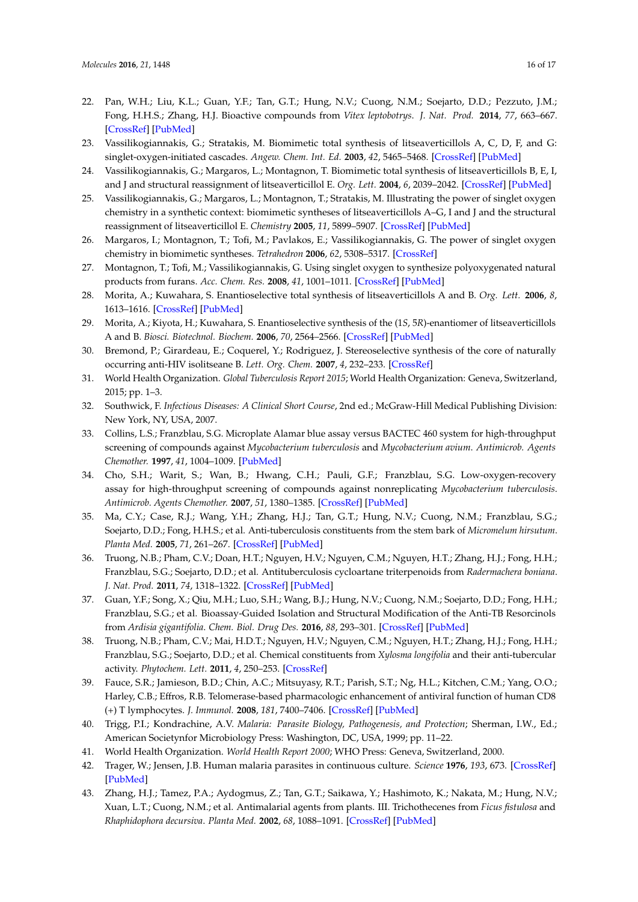- 22. Pan, W.H.; Liu, K.L.; Guan, Y.F.; Tan, G.T.; Hung, N.V.; Cuong, N.M.; Soejarto, D.D.; Pezzuto, J.M.; Fong, H.H.S.; Zhang, H.J. Bioactive compounds from *Vitex leptobotrys*. *J. Nat. Prod.* **2014**, *77*, 663–667. [\[CrossRef\]](http://dx.doi.org/10.1021/np400779v) [\[PubMed\]](http://www.ncbi.nlm.nih.gov/pubmed/24404757)
- 23. Vassilikogiannakis, G.; Stratakis, M. Biomimetic total synthesis of litseaverticillols A, C, D, F, and G: singlet-oxygen-initiated cascades. *Angew. Chem. Int. Ed.* **2003**, *42*, 5465–5468. [\[CrossRef\]](http://dx.doi.org/10.1002/anie.200352180) [\[PubMed\]](http://www.ncbi.nlm.nih.gov/pubmed/14618577)
- 24. Vassilikogiannakis, G.; Margaros, L.; Montagnon, T. Biomimetic total synthesis of litseaverticillols B, E, I, and J and structural reassignment of litseaverticillol E. *Org. Lett.* **2004**, *6*, 2039–2042. [\[CrossRef\]](http://dx.doi.org/10.1021/ol0493610) [\[PubMed\]](http://www.ncbi.nlm.nih.gov/pubmed/15176813)
- 25. Vassilikogiannakis, G.; Margaros, L.; Montagnon, T.; Stratakis, M. Illustrating the power of singlet oxygen chemistry in a synthetic context: biomimetic syntheses of litseaverticillols A–G, I and J and the structural reassignment of litseaverticillol E. *Chemistry* **2005**, *11*, 5899–5907. [\[CrossRef\]](http://dx.doi.org/10.1002/chem.200401311) [\[PubMed\]](http://www.ncbi.nlm.nih.gov/pubmed/15971279)
- 26. Margaros, I.; Montagnon, T.; Tofi, M.; Pavlakos, E.; Vassilikogiannakis, G. The power of singlet oxygen chemistry in biomimetic syntheses. *Tetrahedron* **2006**, *62*, 5308–5317. [\[CrossRef\]](http://dx.doi.org/10.1016/j.tet.2006.01.110)
- 27. Montagnon, T.; Tofi, M.; Vassilikogiannakis, G. Using singlet oxygen to synthesize polyoxygenated natural products from furans. *Acc. Chem. Res.* **2008**, *41*, 1001–1011. [\[CrossRef\]](http://dx.doi.org/10.1021/ar800023v) [\[PubMed\]](http://www.ncbi.nlm.nih.gov/pubmed/18605738)
- 28. Morita, A.; Kuwahara, S. Enantioselective total synthesis of litseaverticillols A and B. *Org. Lett.* **2006**, *8*, 1613–1616. [\[CrossRef\]](http://dx.doi.org/10.1021/ol053122a) [\[PubMed\]](http://www.ncbi.nlm.nih.gov/pubmed/16597123)
- 29. Morita, A.; Kiyota, H.; Kuwahara, S. Enantioselective synthesis of the (1*S*, 5*R*)-enantiomer of litseaverticillols A and B. *Biosci. Biotechnol. Biochem.* **2006**, *70*, 2564–2566. [\[CrossRef\]](http://dx.doi.org/10.1271/bbb.60253) [\[PubMed\]](http://www.ncbi.nlm.nih.gov/pubmed/17031060)
- 30. Bremond, P.; Girardeau, E.; Coquerel, Y.; Rodriguez, J. Stereoselective synthesis of the core of naturally occurring anti-HIV isolitseane B. *Lett. Org. Chem.* **2007**, *4*, 232–233. [\[CrossRef\]](http://dx.doi.org/10.2174/157017807781024237)
- 31. World Health Organization. *Global Tuberculosis Report 2015*; World Health Organization: Geneva, Switzerland, 2015; pp. 1–3.
- 32. Southwick, F. *Infectious Diseases: A Clinical Short Course*, 2nd ed.; McGraw-Hill Medical Publishing Division: New York, NY, USA, 2007.
- 33. Collins, L.S.; Franzblau, S.G. Microplate Alamar blue assay versus BACTEC 460 system for high-throughput screening of compounds against *Mycobacterium tuberculosis* and *Mycobacterium avium*. *Antimicrob. Agents Chemother.* **1997**, *41*, 1004–1009. [\[PubMed\]](http://www.ncbi.nlm.nih.gov/pubmed/9145860)
- 34. Cho, S.H.; Warit, S.; Wan, B.; Hwang, C.H.; Pauli, G.F.; Franzblau, S.G. Low-oxygen-recovery assay for high-throughput screening of compounds against nonreplicating *Mycobacterium tuberculosis*. *Antimicrob. Agents Chemother.* **2007**, *51*, 1380–1385. [\[CrossRef\]](http://dx.doi.org/10.1128/AAC.00055-06) [\[PubMed\]](http://www.ncbi.nlm.nih.gov/pubmed/17210775)
- 35. Ma, C.Y.; Case, R.J.; Wang, Y.H.; Zhang, H.J.; Tan, G.T.; Hung, N.V.; Cuong, N.M.; Franzblau, S.G.; Soejarto, D.D.; Fong, H.H.S.; et al. Anti-tuberculosis constituents from the stem bark of *Micromelum hirsutum*. *Planta Med.* **2005**, *71*, 261–267. [\[CrossRef\]](http://dx.doi.org/10.1055/s-2005-837826) [\[PubMed\]](http://www.ncbi.nlm.nih.gov/pubmed/15770548)
- 36. Truong, N.B.; Pham, C.V.; Doan, H.T.; Nguyen, H.V.; Nguyen, C.M.; Nguyen, H.T.; Zhang, H.J.; Fong, H.H.; Franzblau, S.G.; Soejarto, D.D.; et al. Antituberculosis cycloartane triterpenoids from *Radermachera boniana*. *J. Nat. Prod.* **2011**, *74*, 1318–1322. [\[CrossRef\]](http://dx.doi.org/10.1021/np200022b) [\[PubMed\]](http://www.ncbi.nlm.nih.gov/pubmed/21469696)
- 37. Guan, Y.F.; Song, X.; Qiu, M.H.; Luo, S.H.; Wang, B.J.; Hung, N.V.; Cuong, N.M.; Soejarto, D.D.; Fong, H.H.; Franzblau, S.G.; et al. Bioassay-Guided Isolation and Structural Modification of the Anti-TB Resorcinols from *Ardisia gigantifolia*. *Chem. Biol. Drug Des.* **2016**, *88*, 293–301. [\[CrossRef\]](http://dx.doi.org/10.1111/cbdd.12756) [\[PubMed\]](http://www.ncbi.nlm.nih.gov/pubmed/26992112)
- 38. Truong, N.B.; Pham, C.V.; Mai, H.D.T.; Nguyen, H.V.; Nguyen, C.M.; Nguyen, H.T.; Zhang, H.J.; Fong, H.H.; Franzblau, S.G.; Soejarto, D.D.; et al. Chemical constituents from *Xylosma longifolia* and their anti-tubercular activity. *Phytochem. Lett.* **2011**, *4*, 250–253. [\[CrossRef\]](http://dx.doi.org/10.1016/j.phytol.2011.04.008)
- 39. Fauce, S.R.; Jamieson, B.D.; Chin, A.C.; Mitsuyasy, R.T.; Parish, S.T.; Ng, H.L.; Kitchen, C.M.; Yang, O.O.; Harley, C.B.; Effros, R.B. Telomerase-based pharmacologic enhancement of antiviral function of human CD8 (+) T lymphocytes. *J. Immunol.* **2008**, *181*, 7400–7406. [\[CrossRef\]](http://dx.doi.org/10.4049/jimmunol.181.10.7400) [\[PubMed\]](http://www.ncbi.nlm.nih.gov/pubmed/18981163)
- 40. Trigg, P.I.; Kondrachine, A.V. *Malaria: Parasite Biology, Pathogenesis, and Protection*; Sherman, I.W., Ed.; American Societynfor Microbiology Press: Washington, DC, USA, 1999; pp. 11–22.
- 41. World Health Organization. *World Health Report 2000*; WHO Press: Geneva, Switzerland, 2000.
- 42. Trager, W.; Jensen, J.B. Human malaria parasites in continuous culture. *Science* **1976**, *193*, 673. [\[CrossRef\]](http://dx.doi.org/10.1126/science.781840) [\[PubMed\]](http://www.ncbi.nlm.nih.gov/pubmed/781840)
- 43. Zhang, H.J.; Tamez, P.A.; Aydogmus, Z.; Tan, G.T.; Saikawa, Y.; Hashimoto, K.; Nakata, M.; Hung, N.V.; Xuan, L.T.; Cuong, N.M.; et al. Antimalarial agents from plants. III. Trichothecenes from *Ficus fistulosa* and *Rhaphidophora decursiva*. *Planta Med.* **2002**, *68*, 1088–1091. [\[CrossRef\]](http://dx.doi.org/10.1055/s-2002-36350) [\[PubMed\]](http://www.ncbi.nlm.nih.gov/pubmed/12494335)